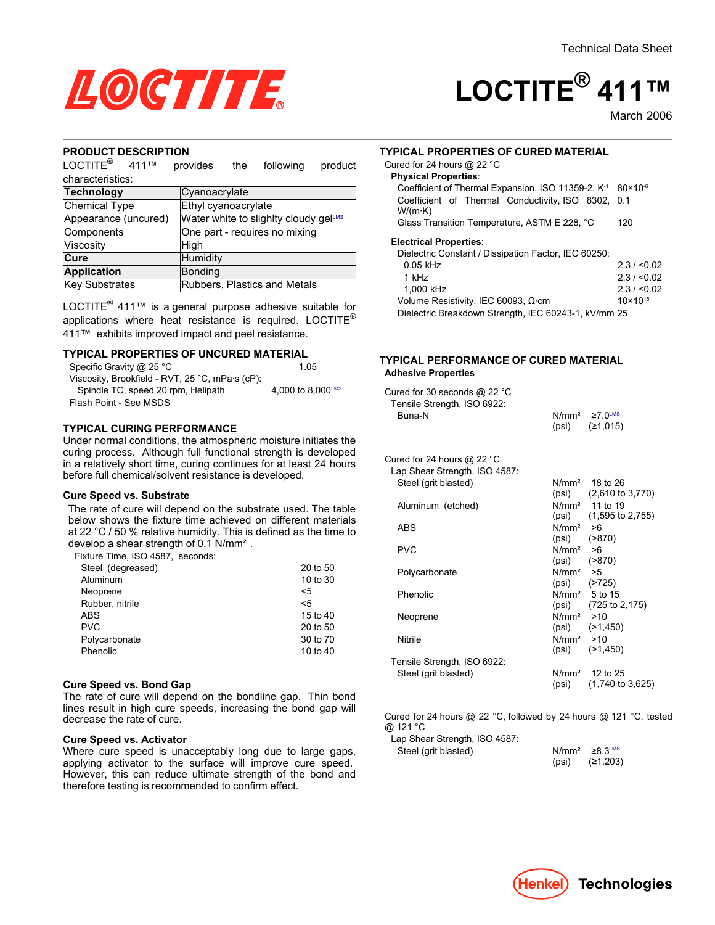

# $\mathsf{LOCTITE}^\circledR$ 411™

March 2006

#### **PRODUCT DESCRIPTION**

 $LOCTITE^{\circledR}$  $411$ <sup>TM</sup> provides the following product characteristics:

| Cyanoacrylate                         |  |  |
|---------------------------------------|--|--|
| Ethyl cyanoacrylate                   |  |  |
| Water white to slighlty cloudy gelLMS |  |  |
| One part - requires no mixing         |  |  |
| High                                  |  |  |
| Humidity                              |  |  |
| Bonding                               |  |  |
| Rubbers, Plastics and Metals          |  |  |
|                                       |  |  |

LOCTITE $^{\circledR}$  411<sup>TM</sup> is a general purpose adhesive suitable for applications where heat resistance is required. LOCTITE® 411™ exhibits improved impact and peel resistance.

#### **TYPICAL PROPERTIES OF UNCURED MATERIAL**

| Specific Gravity @ 25 °C                        | 1 05              |
|-------------------------------------------------|-------------------|
| Viscosity, Brookfield - RVT, 25 °C, mPa·s (cP): |                   |
| Spindle TC, speed 20 rpm, Helipath              | 4.000 to 8.000LMS |
| Flash Point - See MSDS                          |                   |

### **TYPICAL CURING PERFORMANCE**

Under normal conditions, the atmospheric moisture initiates the curing process. Although full functional strength is developed in a relatively short time, curing continues for at least 24 hours before full chemical/solvent resistance is developed.

#### **Cure Speed vs. Substrate**

The rate of cure will depend on the substrate used. The table below shows the fixture time achieved on different materials at 22  $^{\circ}$ C / 50 % relative humidity. This is defined as the time to develop a shear strength of  $0.1$  N/mm<sup>2</sup>.

Fixture Time, ISO 4587, seconds:

| 20 to 50 |
|----------|
| 10 to 30 |
| <5       |
| $<$ 5    |
| 15 to 40 |
| 20 to 50 |
| 30 to 70 |
| 10 to 40 |
|          |

#### **Cure Speed vs. Bond Gap**

The rate of cure will depend on the bondline gap. Thin bond lines result in high cure speeds, increasing the bond gap will decrease the rate of cure.

#### **Cure Speed vs. Activator**

Where cure speed is unacceptably long due to large gaps, applying activator to the surface will improve cure speed. However, this can reduce ultimate strength of the bond and therefore testing is recommended to confirm effect.

#### **TYPICAL PROPERTIES OF CURED MATERIAL**

| Coefficient of Thermal Expansion, ISO 11359-2, K <sup>-1</sup> 80×10 <sup>-6</sup> |
|------------------------------------------------------------------------------------|
| Coefficient of Thermal Conductivity, ISO 8302, 0.1                                 |
| 120                                                                                |
|                                                                                    |
|                                                                                    |
| 2.3 / 0.02                                                                         |
| 2.3 / 0.02                                                                         |
| 2.3 / 0.02                                                                         |
| $10 \times 10^{15}$                                                                |
|                                                                                    |

Dielectric Breakdown Strength, IEC 60243-1, kV/mm 25

#### **TYPICAL PERFORMANCE OF CURED MATERIAL Adhesive Properties**

| Cured for 30 seconds @ 22 °C<br>Tensile Strength, ISO 6922: |                       |                                     |
|-------------------------------------------------------------|-----------------------|-------------------------------------|
| Buna-N                                                      |                       | $N/mm^2 \ge 7.0$ <sup>LMS</sup>     |
|                                                             | (psi)                 | (≥1,015)                            |
| Cured for 24 hours @ 22 °C                                  |                       |                                     |
| Lap Shear Strength, ISO 4587:                               |                       |                                     |
| Steel (grit blasted)                                        |                       | $N/mm2$ 18 to 26                    |
|                                                             |                       | $(psi)$ $(2,610 \text{ to } 3,770)$ |
| Aluminum (etched)                                           |                       | N/mm <sup>2</sup> 11 to 19          |
|                                                             |                       | $(psi)$ $(1,595$ to 2,755)          |
| ABS                                                         | $N/mm^2 > 6$          |                                     |
|                                                             |                       | $(psi)$ $( >870)$                   |
| PVC                                                         | N/mm <sup>2</sup> > 6 |                                     |
|                                                             |                       | $(psi)$ $( >870)$                   |
| Polycarbonate                                               | $N/mm^2$ >5           |                                     |
|                                                             |                       | $(psi)$ $( > 725)$                  |
| Phenolic                                                    |                       | N/mm <sup>2</sup> 5 to 15           |
|                                                             |                       | $(psi)$ $(725 to 2, 175)$           |
| Neoprene                                                    | $N/mm^2$ >10          |                                     |
|                                                             |                       | $(psi)$ $(>1,450)$                  |
| Nitrile                                                     | $N/mm2$ >10           |                                     |
|                                                             |                       | $(psi)$ $(>1,450)$                  |
| Tensile Strength, ISO 6922:                                 |                       |                                     |
| Steel (grit blasted)                                        |                       | $N/mm2$ 12 to 25                    |
|                                                             | (psi)                 | $(1,740 \text{ to } 3,625)$         |

Cured for 24 hours @ 22 °C, followed by 24 hours @ 121 °C, tested @ 121 °C

| Lap Shear Strength, ISO 4587: |  |
|-------------------------------|--|
| Steel (grit blasted)          |  |

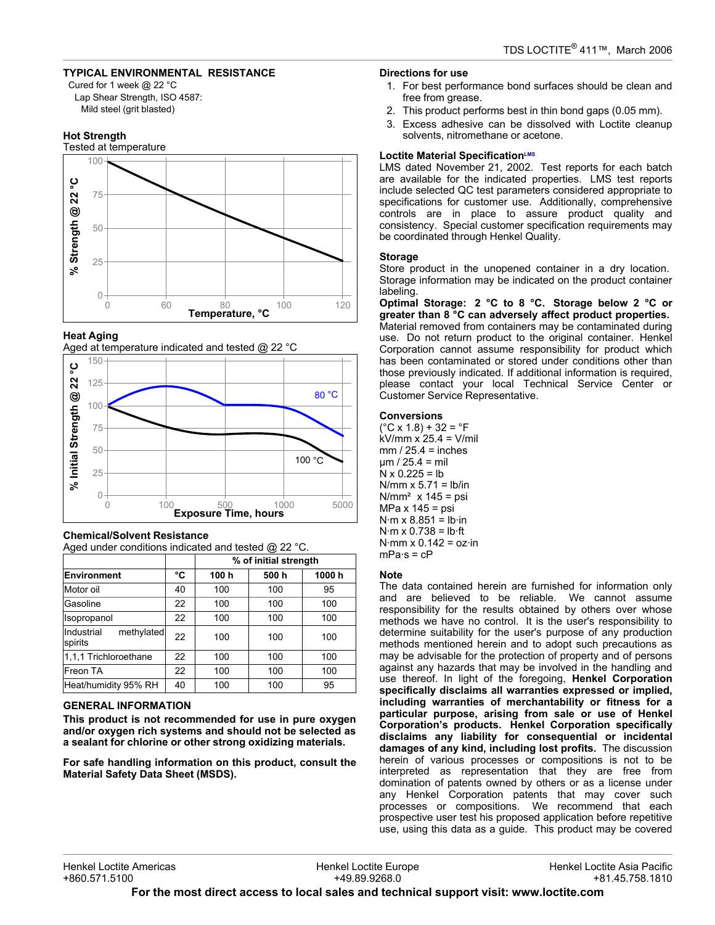# **TYPICAL ENVIRONMENTAL RESISTANCE**

Cured for 1 week @ 22 °C Lap Shear Strength, ISO 4587: Mild steel (grit blasted)

# **Hot Strength**



## **Heat Aging**

Aged at temperature indicated and tested @ 22 °C



#### **Chemical/Solvent Resistance** Aged under conditions indicated and tested  $@$  22 °C.

|                                     |    | % of initial strength |      |       |  |
|-------------------------------------|----|-----------------------|------|-------|--|
| <b>Environment</b>                  | °C | 100 h                 | 500h | 1000h |  |
| Motor oil                           | 40 | 100                   | 100  | 95    |  |
| Gasoline                            | 22 | 100                   | 100  | 100   |  |
| Isopropanol                         | 22 | 100                   | 100  | 100   |  |
| Industrial<br>methylated<br>spirits | 22 | 100                   | 100  | 100   |  |
| 1,1,1 Trichloroethane               | 22 | 100                   | 100  | 100   |  |
| Freon TA                            | 22 | 100                   | 100  | 100   |  |
| Heat/humidity 95% RH                | 40 | 100                   | 100  | 95    |  |

# **GENERAL INFORMATION**

This product is not recommended for use in pure oxygen and/or oxygen rich systems and should not be selected as a sealant for chlorine or other strong oxidizing materials.

For safe handling information on this product, consult the **Material Safety Data Sheet (MSDS).** 

## Directions for use

- 1. For best performance bond surfaces should be clean and free from grease.
- 2. This product performs best in thin bond gaps (0.05 mm).
- 3. Excess adhesive can be dissolved with Loctite cleanup solvents, nitromethane or acetone.

## Loctite Material SpecificationLMS

LMS dated November 21, 2002. Test reports for each batch are available for the indicated properties. LMS test reports include selected QC test parameters considered appropriate to specifications for customer use. Additionally, comprehensive controls are in place to assure product quality and consistency. Special customer specification requirements may be coordinated through Henkel Quality.

## **Storage**

Store product in the unopened container in a dry location. Storage information may be indicated on the product container labeling.

Optimal Storage: 2 °C to 8 °C. Storage below 2 °C or greater than 8 °C can adversely affect product properties. Material removed from containers may be contaminated during use. Do not return product to the original container. Henkel Corporation cannot assume responsibility for product which has been contaminated or stored under conditions other than those previously indicated. If additional information is required, please contact your local Technical Service Center or Customer Service Representative.

# **Conversions**

 $(^{\circ}C \times 1.8) + 32 = ^{\circ}F$  $kV/mm \times 25.4 = V/ml$  $mm/25.4 = inches$  $\mu$ m / 25.4 = mil  $N \times 0.225 = lb$ N/mm  $x 5.71 = lb/in$  $N/mm<sup>2</sup>$  x 145 = psi MPa x 145 = psi  $N·m \times 8.851 = lb·in$  $N·m \times 0.738 = lb·ft$ N  $\cdot$ mm x 0.142 = oz $\cdot$ in  $mPa·s = cP$ 

# **Note**

The data contained herein are furnished for information only and are believed to be reliable. We cannot assume responsibility for the results obtained by others over whose methods we have no control. It is the user's responsibility to determine suitability for the user's purpose of any production methods mentioned herein and to adopt such precautions as may be advisable for the protection of property and of persons against any hazards that may be involved in the handling and use thereof. In light of the foregoing, Henkel Corporation specifically disclaims all warranties expressed or implied, including warranties of merchantability or fitness for a particular purpose, arising from sale or use of Henkel Corporation's products. Henkel Corporation specifically disclaims any liability for consequential or incidental damages of any kind, including lost profits. The discussion herein of various processes or compositions is not to be interpreted as representation that they are free from domination of patents owned by others or as a license under any Henkel Corporation patents that may cover such processes or compositions. We recommend that each prospective user test his proposed application before repetitive use, using this data as a guide. This product may be covered